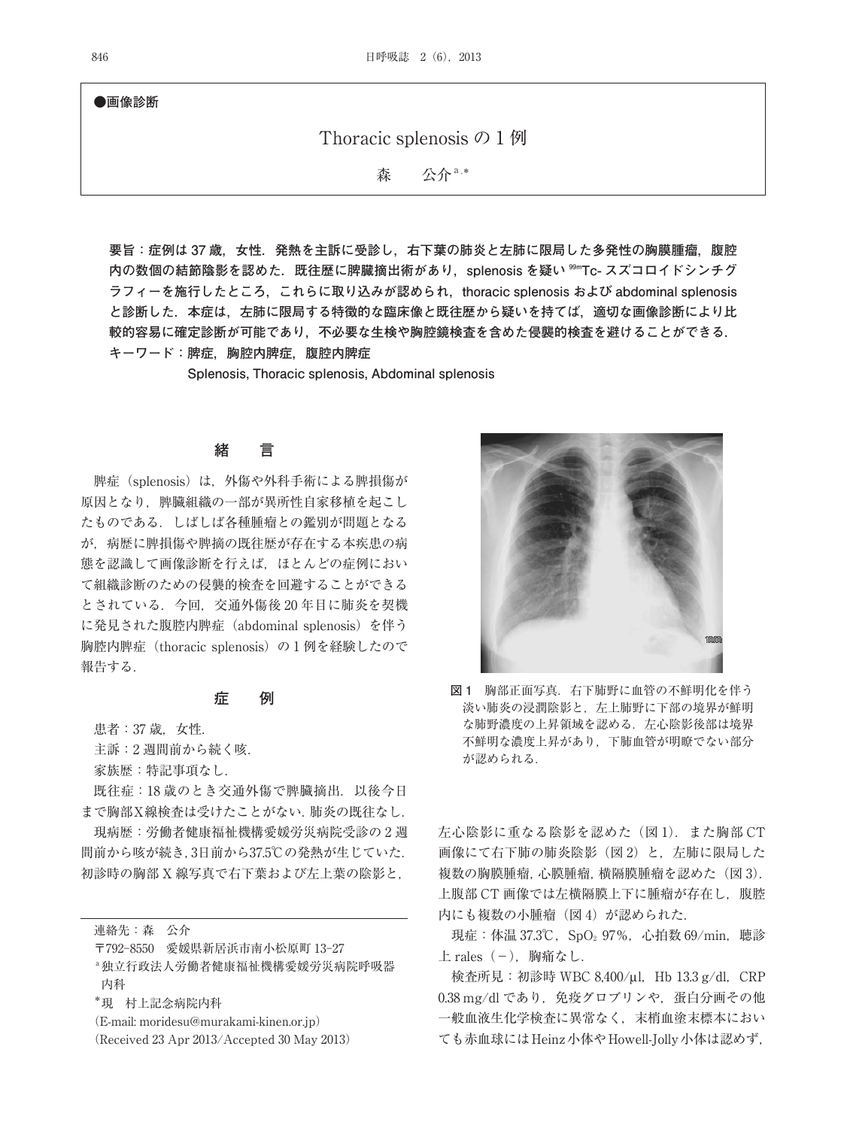**●画像診断**

# Thoracic splenosis の 1 例

森 公介 a.\*

**要旨:症例は 37 歳,女性.発熱を主訴に受診し,右下葉の肺炎と左肺に限局した多発性の胸膜腫瘤,腹腔** 内の数個の結節陰影を認めた. 既往歴に脾臓摘出術があり, splenosis を疑い <sup>99m</sup>Tc- スズコロイドシンチグ **ラフィーを施行したところ,これらに取り込みが認められ,thoracic splenosis および abdominal splenosis と診断した.本症は,左肺に限局する特徴的な臨床像と既往歴から疑いを持てば,適切な画像診断により比 較的容易に確定診断が可能であり,不必要な生検や胸腔鏡検査を含めた侵襲的検査を避けることができる. キーワード:脾症,胸腔内脾症,腹腔内脾症**

**Splenosis, Thoracic splenosis, Abdominal splenosis**

### **緒 言**

脾症(splenosis)は、外傷や外科手術による脾損傷が 原因となり、脾臓組織の一部が異所性自家移植を起こし たものである.しばしば各種腫瘤との鑑別が問題となる が,病歴に脾損傷や脾摘の既往歴が存在する本疾患の病 態を認識して画像診断を行えば,ほとんどの症例におい て組織診断のための侵襲的検査を回避することができる とされている.今回,交通外傷後 20 年目に肺炎を契機 に発見された腹腔内脾症(abdominal splenosis)を伴う 胸腔内脾症(thoracic splenosis)の 1 例を経験したので 報告する.

#### **症 例**

患者: 37 歳, 女性.

主訴:2 週間前から続く咳.

家族歴:特記事項なし.

既往症:18 歳のとき交通外傷で脾臓摘出.以後今日 まで胸部X線検査は受けたことがない.肺炎の既往なし.

現病歴:労働者健康福祉機構愛媛労災病院受診の 2 週 間前から咳が続き,3日前から37.5℃の発熱が生じていた. 初診時の胸部 X 線写真で右下葉および左上葉の陰影と,

連絡先:森 公介

〒792-8550 愛媛県新居浜市南小松原町 13-27

a独立行政法人労働者健康福祉機構愛媛労災病院呼吸器 内科

\*現 村上記念病院内科

(E-mail: moridesu@murakami-kinen.or.jp)

(Received 23 Apr 2013/Accepted 30 May 2013)



**図 1** 胸部正面写真.右下肺野に血管の不鮮明化を伴う 淡い肺炎の浸潤陰影と,左上肺野に下部の境界が鮮明 な肺野濃度の上昇領域を認める. 左心陰影後部は境界 不鮮明な濃度上昇があり,下肺血管が明瞭でない部分 が認められる.

左心陰影に重なる陰影を認めた(図 1).また胸部 CT 画像にて右下肺の肺炎陰影(図2)と, 左肺に限局した 複数の胸膜腫瘤,心膜腫瘤,横隔膜腫瘤を認めた(図 3). 上腹部 CT 画像では左横隔膜上下に腫瘤が存在し、腹腔 内にも複数の小腫瘤(図4)が認められた.

現症:体温 37.3℃, SpO<sub>2</sub> 97%, 心拍数 69/min, 聴診  $\pm$  rales  $(-)$ , 胸痛なし.

検査所見: 初診時 WBC 8,400/μl, Hb 13.3 g/dl, CRP 0.38 mg/dl であり、免疫グロブリンや、蛋白分画その他 一般血液生化学検査に異常なく,末梢血塗末標本におい ても赤血球にはHeinz小体やHowell-Jolly小体は認めず,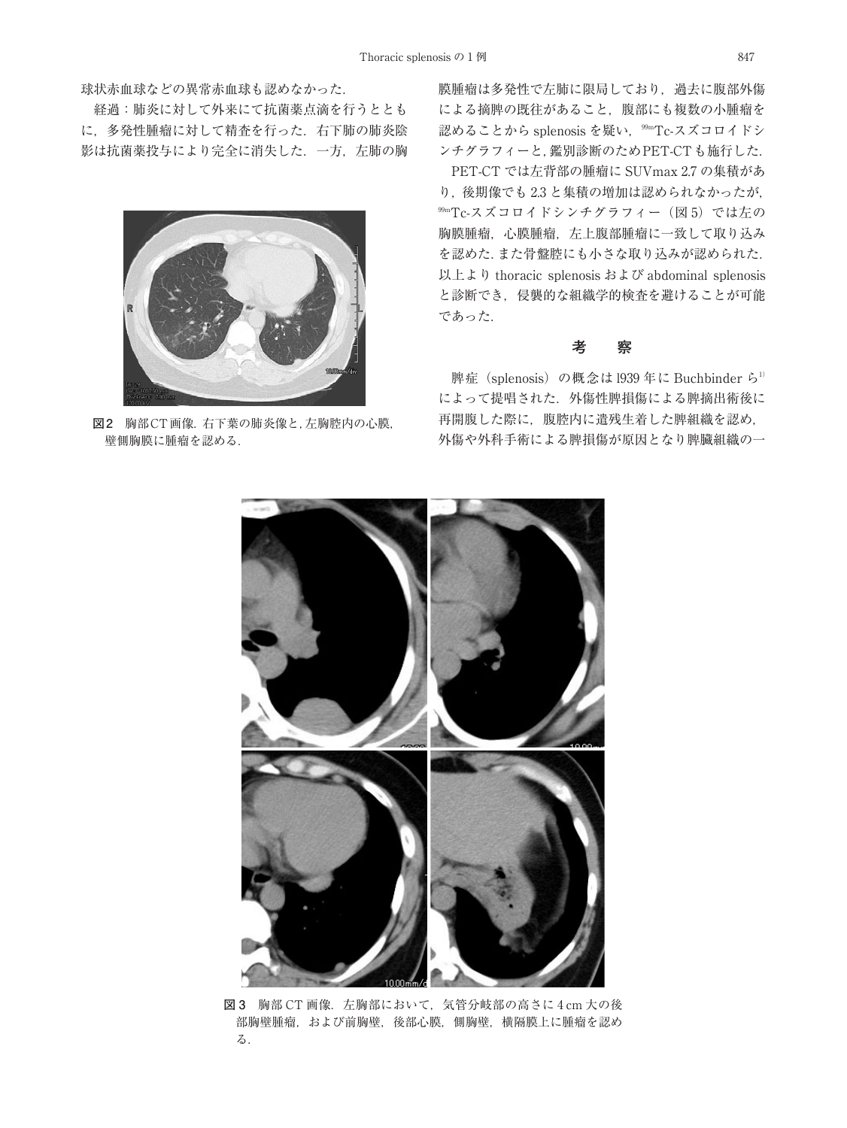球状赤血球などの異常赤血球も認めなかった.

経過:肺炎に対して外来にて抗菌薬点滴を行うととも に,多発性腫瘤に対して精査を行った.右下肺の肺炎陰 影は抗菌薬投与により完全に消失した.一方,左肺の胸



**図2** 胸部CT画像.右下葉の肺炎像と,左胸腔内の心膜, 壁側胸膜に腫瘤を認める.

膜腫瘤は多発性で左肺に限局しており,過去に腹部外傷 による摘脾の既往があること,腹部にも複数の小腫瘤を 認めることから splenosis を疑い,<sup>99m</sup>Tc-スズコロイドシ ンチグラフィーと,鑑別診断のためPET-CTも施行した.

PET-CT では左背部の腫瘤に SUVmax 2.7 の集積があ り,後期像でも 2.3 と集積の増加は認められなかったが, 99m Tc-スズコロイドシンチグラフィー(図 5)では左の 胸膜腫瘤,心膜腫瘤,左上腹部腫瘤に一致して取り込み を認めた.また骨盤腔にも小さな取り込みが認められた. 以上より thoracic splenosis および abdominal splenosis と診断でき,侵襲的な組織学的検査を避けることが可能 であった.

## **考 察**

脾症 (splenosis) の概念は 1939年に Buchbinder ら<sup>1)</sup> によって提唱された.外傷性脾損傷による脾摘出術後に 再開腹した際に,腹腔内に遣残生着した脾組織を認め, 外傷や外科手術による脾損傷が原因となり脾臓組織の一



**図 3** 胸部 CT 画像.左胸部において,気管分岐部の高さに 4 cm 大の後 部胸壁腫瘤,および前胸壁,後部心膜,側胸壁,横隔膜上に腫瘤を認め る.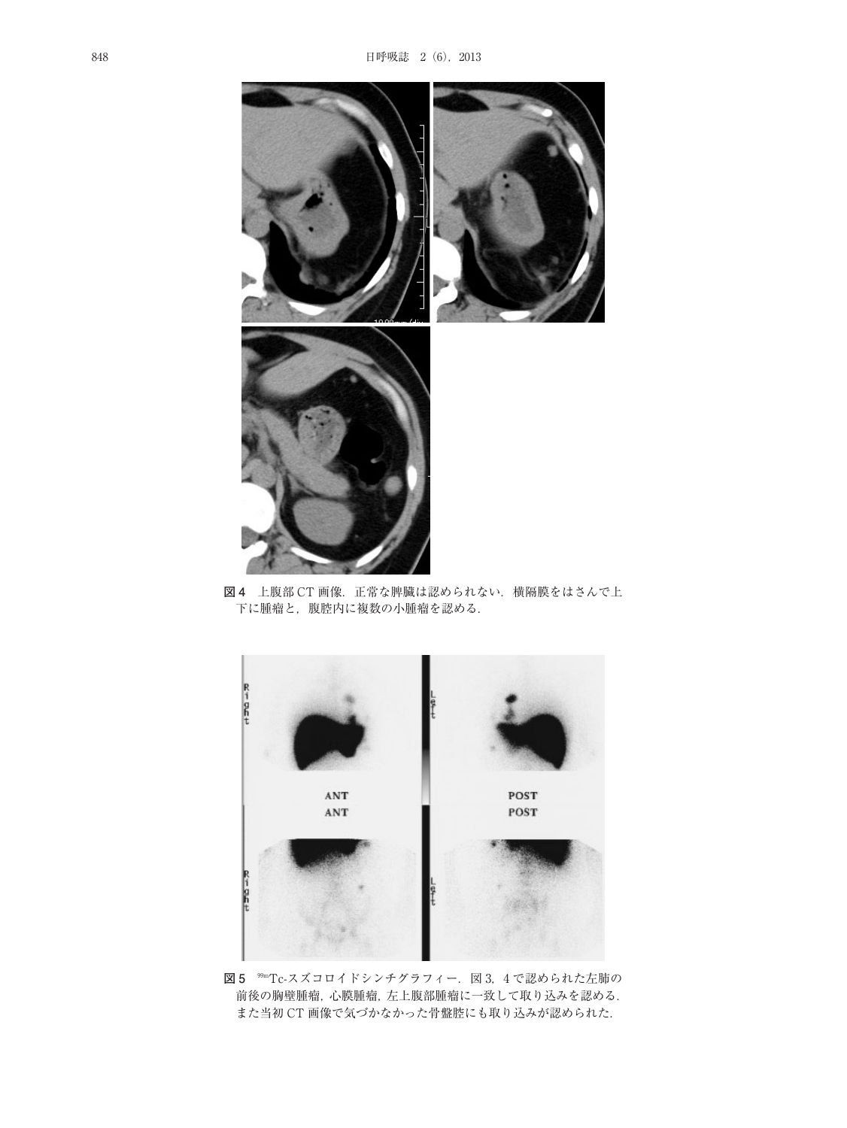

図 4 上腹部 CT 画像. 正常な脾臓は認められない. 横隔膜をはさんで上 下に腫瘤と,腹腔内に複数の小腫瘤を認める.



**図5** ℠Tc-スズコロイドシンチグラフィー.図3,4 で認められた左肺の 前後の胸壁腫瘤,心膜腫瘤,左上腹部腫瘤に一致して取り込みを認める. また当初 CT 画像で気づかなかった骨盤腔にも取り込みが認められた.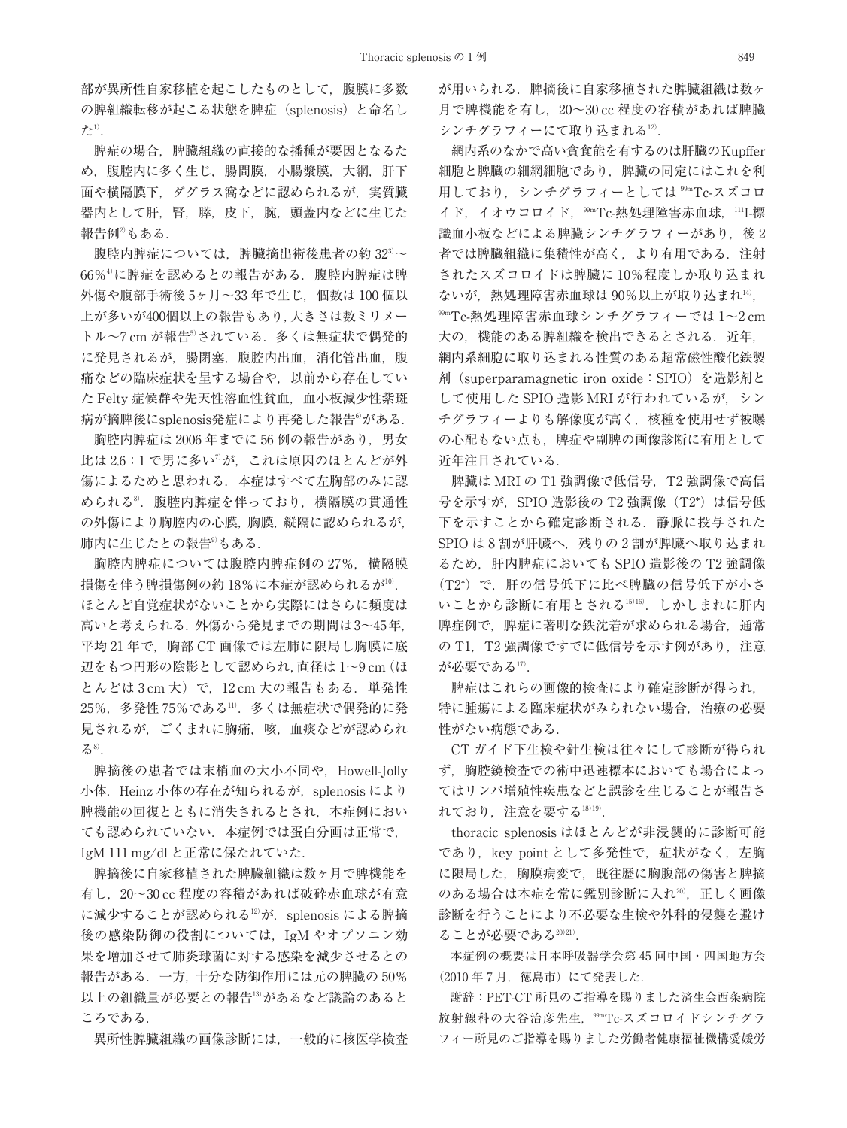部が異所性自家移植を起こしたものとして,腹膜に多数 の脾組織転移が起こる状態を脾症(splenosis)と命名し た $1$ )

脾症の場合,脾臓組織の直接的な播種が要因となるた め,腹腔内に多く生じ,腸間膜,小腸漿膜,大網,肝下 面や横隔膜下,ダグラス窩などに認められるが,実質臓 器内として肝,腎,膵,皮下,腕,頭蓋内などに生じた 報告例2) もある.

腹腔内脾症については,脾臓摘出術後患者の約 32<sup>3)</sup>~ 66%4) に脾症を認めるとの報告がある.腹腔内脾症は脾 外傷や腹部手術後 5ヶ月~33年で生じ、個数は 100 個以 上が多いが400個以上の報告もあり,大きさは数ミリメー トル~7 cm が報告5されている. 多くは無症状で偶発的 に発見されるが,腸閉塞,腹腔内出血,消化管出血,腹 痛などの臨床症状を呈する場合や,以前から存在してい た Felty 症候群や先天性溶血性貧血,血小板減少性紫斑 病が摘脾後にsplenosis発症により再発した報告®がある.

胸腔内脾症は 2006 年までに 56 例の報告があり,男女 比は 2.6:1 で男に多い"が,これは原因のほとんどが外 傷によるためと思われる.本症はすべて左胸部のみに認 められる<sup>8</sup>.腹腔内脾症を伴っており,横隔膜の貫通性 の外傷により胸腔内の心膜,胸膜,縦隔に認められるが, 肺内に生じたとの報告<sup>9)</sup>もある.

胸腔内脾症については腹腔内脾症例の 27%, 横隔膜 損傷を伴う脾損傷例の約 18%に本症が認められるが $^{\rm 10}$ , ほとんど自覚症状がないことから実際にはさらに頻度は 高いと考えられる.外傷から発見までの期間は3~45年, 平均 21年で、胸部 CT 画像では左肺に限局し胸膜に底 辺をもつ円形の陰影として認められ,直径は 1~9 cm(ほ とんどは 3 cm 大)で, 12 cm 大の報告もある. 単発性 25%,多発性 75%である11) .多くは無症状で偶発的に発 見されるが、ごくまれに胸痛,咳,血痰などが認められ る<sup>8)</sup>.

脾摘後の患者では末梢血の大小不同や,Howell-Jolly 小体, Heinz 小体の存在が知られるが, splenosis により 脾機能の回復とともに消失されるとされ,本症例におい ても認められていない.本症例では蛋白分画は正常で, IgM 111 mg/dl と正常に保たれていた.

脾摘後に自家移植された脾臓組織は数ヶ月で脾機能を 有し,20~30 cc 程度の容積があれば破砕赤血球が有意 に減少することが認められる<sup>12)</sup>が, splenosis による脾摘 後の感染防御の役割については,IgM やオプソニン効 果を増加させて肺炎球菌に対する感染を減少させるとの 報告がある.一方,十分な防御作用には元の脾臓の 50% 以上の組織量が必要との報告<sup>13)</sup>があるなど議論のあると ころである.

異所性脾臓組織の画像診断には,一般的に核医学検査

が用いられる.脾摘後に自家移植された脾臓組織は数ヶ 月で脾機能を有し,20~30 cc 程度の容積があれば脾臓 シンチグラフィーにて取り込まれる12) .

網内系のなかで高い貪食能を有するのは肝臓のKupffer 細胞と脾臓の細網細胞であり,脾臓の同定にはこれを利 用しており,シンチグラフィーとしては <sup>99m</sup>Tc-スズコロ イド,イオウコロイド,<sup>99m</sup>Tc-熱処理障害赤血球,'''I-標 識血小板などによる脾臓シンチグラフィーがあり、後2 者では脾臓組織に集積性が高く,より有用である.注射 されたスズコロイドは脾臓に 10%程度しか取り込まれ ないが,熱処理障害赤血球は 90%以上が取り込まれ $^{14}$ , 99m Tc-熱処理障害赤血球シンチグラフィーでは 1~2 cm 大の, 機能のある脾組織を検出できるとされる. 近年, 網内系細胞に取り込まれる性質のある超常磁性酸化鉄製 剤(superparamagnetic iron oxide:SPIO)を造影剤と して使用した SPIO 造影 MRI が行われているが,シン チグラフィーよりも解像度が高く,核種を使用せず被曝 の心配もない点も,脾症や副脾の画像診断に有用として 近年注目されている.

脾臓は MRI の T1 強調像で低信号, T2 強調像で高信 号を示すが, SPIO 造影後の T2 強調像 (T2\*) は信号低 下を示すことから確定診断される.静脈に投与された SPIO は 8 割が肝臓へ, 残りの2割が脾臓へ取り込まれ るため,肝内脾症においても SPIO 造影後の T2 強調像 (T2\*)で,肝の信号低下に比べ脾臓の信号低下が小さ いことから診断に有用とされる15)16) .しかしまれに肝内 脾症例で,脾症に著明な鉄沈着が求められる場合,通常 の T1. T2 強調像ですでに低信号を示す例があり. 注意 が必要である'<sup>7)</sup>.

脾症はこれらの画像的検査により確定診断が得られ, 特に腫瘍による臨床症状がみられない場合、治療の必要 性がない病態である.

CT ガイド下生検や針生検は往々にして診断が得られ ず,胸腔鏡検査での術中迅速標本においても場合によっ てはリンパ増殖性疾患などと誤診を生じることが報告さ れており,注意を要する18)19).

thoracic splenosis はほとんどが非浸襲的に診断可能 であり, key point として多発性で, 症状がなく, 左胸 に限局した,胸膜病変で,既往歴に胸腹部の傷害と脾摘 のある場合は本症を常に鑑別診断に入れ20),正しく画像 診断を行うことにより不必要な生検や外科的侵襲を避け ることが必要である20)21).

本症例の概要は日本呼吸器学会第 45 回中国・四国地方会 (2010年7月,徳島市)にて発表した.

謝辞:PET-CT 所見のご指導を賜りました済生会西条病院 放射線科の大谷治彦先生,<sup>99m</sup>Tc-スズコロイドシンチグラ フィー所見のご指導を賜りました労働者健康福祉機構愛媛労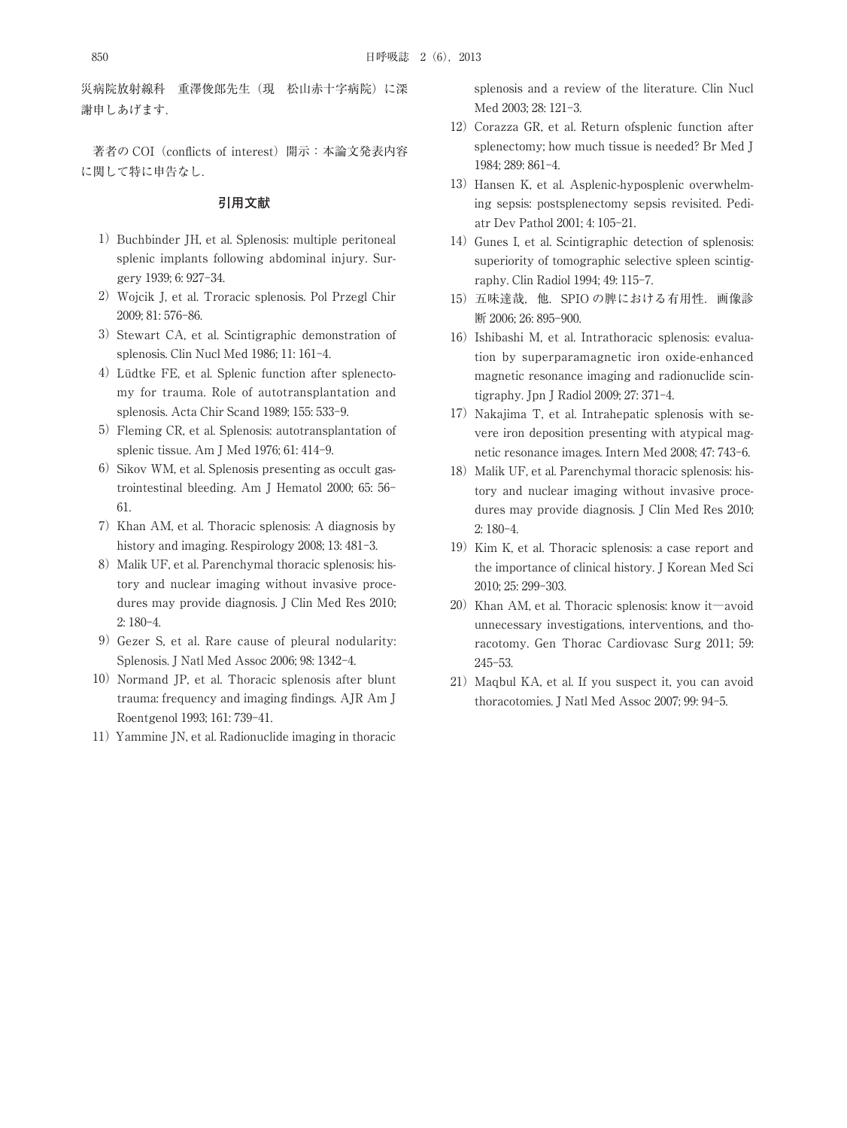災病院放射線科 重澤俊郎先生(現 松山赤十字病院)に深 謝申しあげます.

著者の COI (conflicts of interest) 開示:本論文発表内容 に関して特に申告なし.

#### **引用文献**

- 1) Buchbinder JH, et al. Splenosis: multiple peritoneal splenic implants following abdominal injury. Surgery 1939; 6: 927-34.
- 2)Wojcik J, et al. Troracic splenosis. Pol Przegl Chir 2009; 81: 576-86.
- 3) Stewart CA, et al. Scintigraphic demonstration of splenosis. Clin Nucl Med 1986; 11: 161-4.
- 4)Lüdtke FE, et al. Splenic function after splenectomy for trauma. Role of autotransplantation and splenosis. Acta Chir Scand 1989; 155: 533-9.
- 5) Fleming CR, et al. Splenosis: autotransplantation of splenic tissue. Am J Med 1976; 61: 414-9.
- 6) Sikov WM, et al. Splenosis presenting as occult gastrointestinal bleeding. Am J Hematol 2000; 65: 56- 61.
- 7)Khan AM, et al. Thoracic splenosis: A diagnosis by history and imaging. Respirology 2008; 13: 481-3.
- 8) Malik UF, et al. Parenchymal thoracic splenosis: history and nuclear imaging without invasive procedures may provide diagnosis. J Clin Med Res 2010; 2: 180-4.
- 9) Gezer S, et al. Rare cause of pleural nodularity: Splenosis. J Natl Med Assoc 2006; 98: 1342-4.
- 10) Normand JP, et al. Thoracic splenosis after blunt trauma: frequency and imaging findings. AJR Am J Roentgenol 1993; 161: 739-41.
- 11) Yammine JN, et al. Radionuclide imaging in thoracic

splenosis and a review of the literature. Clin Nucl Med 2003; 28: 121-3.

- 12) Corazza GR, et al. Return of splenic function after splenectomy; how much tissue is needed? Br Med J 1984; 289: 861-4.
- 13) Hansen K, et al. Asplenic-hyposplenic overwhelming sepsis: postsplenectomy sepsis revisited. Pediatr Dev Pathol 2001; 4: 105-21.
- 14) Gunes I, et al. Scintigraphic detection of splenosis: superiority of tomographic selective spleen scintigraphy. Clin Radiol 1994; 49: 115-7.
- 15)五味達哉,他.SPIO の脾における有用性.画像診 断 2006; 26: 895-900.
- 16) Ishibashi M, et al. Intrathoracic splenosis: evaluation by superparamagnetic iron oxide-enhanced magnetic resonance imaging and radionuclide scintigraphy. Jpn J Radiol 2009; 27: 371-4.
- 17) Nakajima T, et al. Intrahepatic splenosis with severe iron deposition presenting with atypical magnetic resonance images. Intern Med 2008; 47: 743-6.
- 18) Malik UF, et al. Parenchymal thoracic splenosis: history and nuclear imaging without invasive procedures may provide diagnosis. J Clin Med Res 2010; 2: 180-4.
- 19) Kim K, et al. Thoracic splenosis: a case report and the importance of clinical history. J Korean Med Sci 2010; 25: 299-303.
- 20) Khan AM, et al. Thoracic splenosis: know it—avoid unnecessary investigations, interventions, and thoracotomy. Gen Thorac Cardiovasc Surg 2011; 59: 245-53.
- 21) Maqbul KA, et al. If you suspect it, you can avoid thoracotomies. J Natl Med Assoc 2007; 99: 94-5.